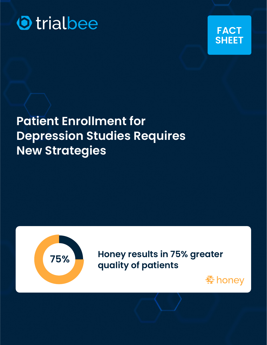



# **Patient Enrollment for Depression Studies Requires New Strategies**



**75% Honey results in 75% greater quality of patients**

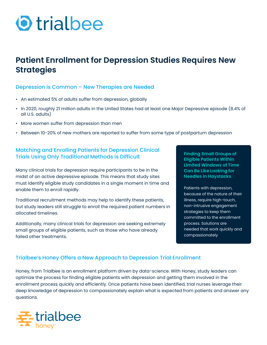# **O** trialbee

# **Patient Enrollment for Depression Studies Requires New Strategies**

### Depression is Common – New Therapies are Needed

- An estimated 5% of adults suffer from depression, globally
- In 2020, roughly 21 million adults in the United States had at least one Major Depressive episode (8.4% of all U.S. adults)
- More women suffer from depression than men
- Between 10-20% of new mothers are reported to suffer from some type of postpartum depression

# Matching and Enrolling Patients for Depression Clinical Trials Using Only Traditional Methods is Difficult

Many clinical trials for depression require participants to be in the midst of an active depressive episode. This means that study sites must identify eligible study candidates in a single moment in time and enable them to enroll rapidly.

Traditional recruitment methods may help to identify these patients, but study leaders still struggle to enroll the required patient numbers in allocated timelines.

Additionally, many clinical trials for depression are seeking extremely small groups of eligible patients, such as those who have already failed other treatments.

**Finding Small Groups of Eligible Patients Within Limited Windows of Time Can Be Like Looking for Needles in Haystacks**

Patients with depression, because of the nature of their illness, require high-touch, non-intrusive engagement strategies to keep them committed to the enrollment process. Solutions are needed that work quickly and compassionately

## Trialbee's Honey Offers a New Approach to Depression Trial Enrollment

Honey, from Trialbee is an enrollment platform driven by data-science. With Honey, study leaders can optimize the process for finding eligible patients with depression and getting them involved in the enrollment process quickly and efficiently. Once patients have been identified, trial nurses leverage their deep knowledge of depression to compassionately explain what is expected from patients and answer any questions.

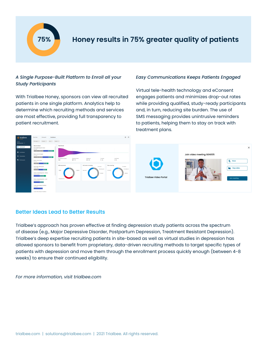

# **75% Honey results in 75% greater quality of patients**

### *A Single Purpose-Built Platform to Enroll all your Study Participants*

With Trialbee Honey, sponsors can view all recruited patients in one single platform. Analytics help to determine which recruiting methods and services are most effective, providing full transparency to patient recruitment.

#### *Easy Communications Keeps Patients Engaged*

Virtual tele-health technology and eConsent engages patients and minimizes drop-out rates while providing qualified, study-ready participants and, in turn, reducing site burden. The use of SMS messaging provides unintrusive reminders to patients, helping them to stay on track with treatment plans.



### Better Ideas Lead to Better Results

Trialbee's approach has proven effective at finding depression study patients across the spectrum of disease (e.g., Major Depressive Disorder, Postpartum Depression, Treatment Resistant Depression). Trialbee's deep expertise recruiting patients in site-based as well as virtual studies in depression has allowed sponsors to benefit from proprietary, data-driven recruiting methods to target specific types of patients with depression and move them through the enrollment process quickly enough (between 4-8 weeks) to ensure their continued eligibility.

*For more information, visit trialbee.com*